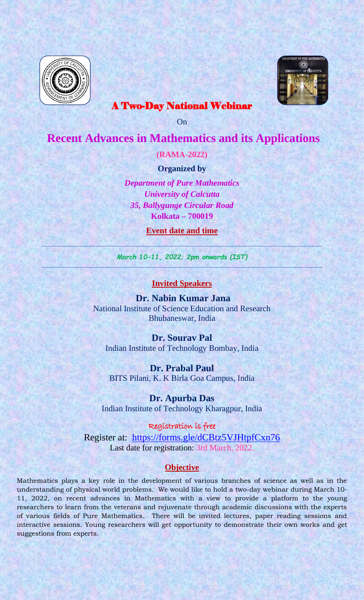



## A Two-Day National Webinar

On

# **Recent Advances in Mathematics and its Applications**

**(RAMA-2022)**

**Organized by**

*Department of Pure Mathematics University of Calcutta 35, Ballygunge Circular Road* **Kolkata – 700019**

**Event date and time**

*March 10-11, 2022; 2pm onwards (IST)*

#### **Invited Speakers**

**Dr. Nabin Kumar Jana** National Institute of Science Education and Research Bhubaneswar, India

**Dr. Sourav Pal**  Indian Institute of Technology Bombay, India

**Dr. Prabal Paul** BITS Pilani, K. K Birla Goa Campus, India

**Dr. Apurba Das** Indian Institute of Technology Kharagpur, India

Registration is free Register at: <https://forms.gle/dCBtz5VJHtpfCxn76> Last date for registration: 3rd March, 2022.

#### **Objective**

Mathematics plays a key role in the development of various branches of science as well as in the understanding of physical world problems. We would like to hold a two-day webinar during March 10- 11, 2022, on recent advances in Mathematics with a view to provide a platform to the young researchers to learn from the veterans and rejuvenate through academic discussions with the experts of various fields of Pure Mathematics. There will be invited lectures, paper reading sessions and interactive sessions. Young researchers will get opportunity to demonstrate their own works and get suggestions from experts.